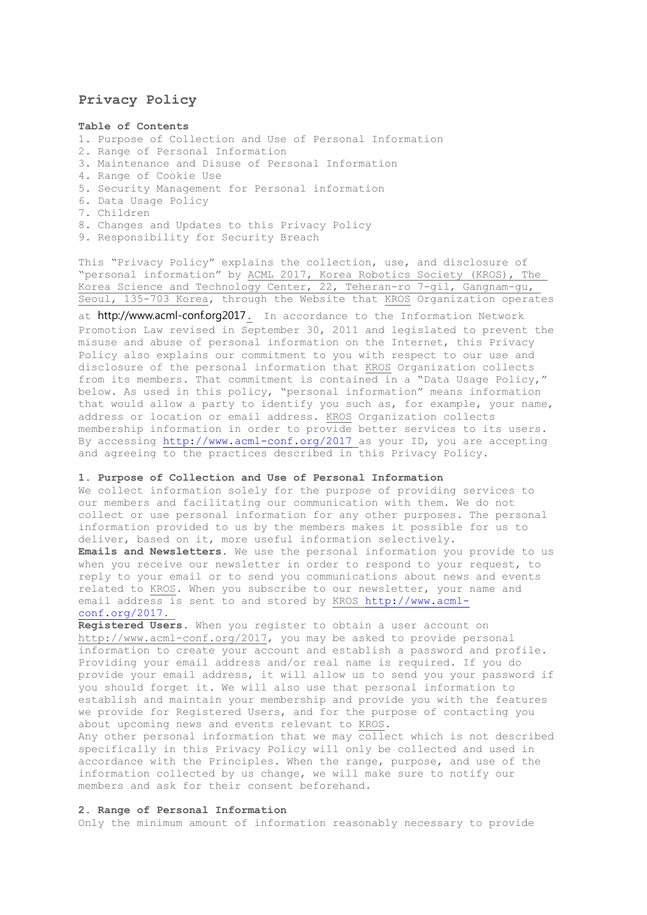# **Privacy Policy**

### **Table of Contents**

- 1. Purpose of Collection and Use of Personal Information
- 2. Range of Personal Information
- 3. Maintenance and Disuse of Personal Information
- 4. Range of Cookie Use
- 5. Security Management for Personal information
- 6. Data Usage Policy
- 7. Children
- 8. Changes and Updates to this Privacy Policy
- 9. Responsibility for Security Breach

This "Privacy Policy" explains the collection, use, and disclosure of "personal information" by ACML 2017, Korea Robotics Society (KROS), The Korea Science and Technology Center, 22, Teheran-ro 7-gil, Gangnam-gu, Seoul, 135-703 Korea, through the Website that KROS Organization operates

at http://www.acml-conf.org2017. In accordance to the Information Network Promotion Law revised in September 30, 2011 and legislated to prevent the misuse and abuse of personal information on the Internet, this Privacy Policy also explains our commitment to you with respect to our use and disclosure of the personal information that KROS Organization collects from its members. That commitment is contained in a "Data Usage Policy," below. As used in this policy, "personal information" means information that would allow a party to identify you such as, for example, your name, address or location or email address. KROS Organization collects membership information in order to provide better services to its users. By accessing<http://www.acml-conf.org/2017> as your ID, you are accepting and agreeing to the practices described in this Privacy Policy.

#### **1. Purpose of Collection and Use of Personal Information**

We collect information solely for the purpose of providing services to our members and facilitating our communication with them. We do not collect or use personal information for any other purposes. The personal information provided to us by the members makes it possible for us to deliver, based on it, more useful information selectively.

**Emails and Newsletters.** We use the personal information you provide to us when you receive our newsletter in order to respond to your request, to reply to your email or to send you communications about news and events related to KROS. When you subscribe to our newsletter, your name and email address is sent to and stored by KROS [http://www.acml](http://www.acml-conf.org/2017)[conf.org/2017.](http://www.acml-conf.org/2017)

**Registered Users.** When you register to obtain a user account on http://www.acml-conf.org/2017, you may be asked to provide personal information to create your account and establish a password and profile. Providing your email address and/or real name is required. If you do provide your email address, it will allow us to send you your password if you should forget it. We will also use that personal information to establish and maintain your membership and provide you with the features we provide for Registered Users, and for the purpose of contacting you about upcoming news and events relevant to KROS.

Any other personal information that we may collect which is not described specifically in this Privacy Policy will only be collected and used in accordance with the Principles. When the range, purpose, and use of the information collected by us change, we will make sure to notify our members and ask for their consent beforehand.

#### **2. Range of Personal Information**

Only the minimum amount of information reasonably necessary to provide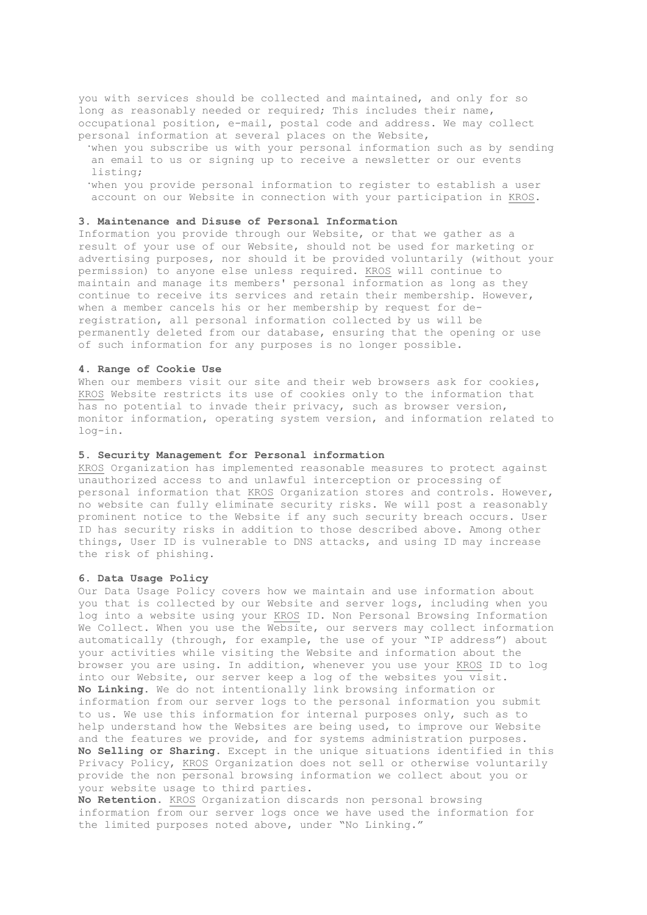you with services should be collected and maintained, and only for so long as reasonably needed or required; This includes their name, occupational position, e-mail, postal code and address. We may collect personal information at several places on the Website,

**·**when you subscribe us with your personal information such as by sending an email to us or signing up to receive a newsletter or our events listing;

**·**when you provide personal information to register to establish a user account on our Website in connection with your participation in KROS.

### **3. Maintenance and Disuse of Personal Information**

Information you provide through our Website, or that we gather as a result of your use of our Website, should not be used for marketing or advertising purposes, nor should it be provided voluntarily (without your permission) to anyone else unless required. KROS will continue to maintain and manage its members' personal information as long as they continue to receive its services and retain their membership. However, when a member cancels his or her membership by request for deregistration, all personal information collected by us will be permanently deleted from our database, ensuring that the opening or use of such information for any purposes is no longer possible.

#### **4. Range of Cookie Use**

When our members visit our site and their web browsers ask for cookies, KROS Website restricts its use of cookies only to the information that has no potential to invade their privacy, such as browser version, monitor information, operating system version, and information related to log-in.

#### **5. Security Management for Personal information**

KROS Organization has implemented reasonable measures to protect against unauthorized access to and unlawful interception or processing of personal information that KROS Organization stores and controls. However, no website can fully eliminate security risks. We will post a reasonably prominent notice to the Website if any such security breach occurs. User ID has security risks in addition to those described above. Among other things, User ID is vulnerable to DNS attacks, and using ID may increase the risk of phishing.

#### **6. Data Usage Policy**

Our Data Usage Policy covers how we maintain and use information about you that is collected by our Website and server logs, including when you log into a website using your KROS ID. Non Personal Browsing Information We Collect. When you use the Website, our servers may collect information automatically (through, for example, the use of your "IP address") about your activities while visiting the Website and information about the browser you are using. In addition, whenever you use your KROS ID to log into our Website, our server keep a log of the websites you visit. **No Linking.** We do not intentionally link browsing information or information from our server logs to the personal information you submit to us. We use this information for internal purposes only, such as to help understand how the Websites are being used, to improve our Website and the features we provide, and for systems administration purposes. **No Selling or Sharing.** Except in the unique situations identified in this Privacy Policy, KROS Organization does not sell or otherwise voluntarily provide the non personal browsing information we collect about you or your website usage to third parties.

**No Retention.** KROS Organization discards non personal browsing information from our server logs once we have used the information for the limited purposes noted above, under "No Linking."